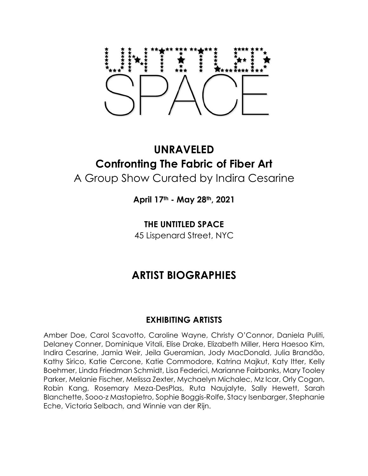# **UNRAVELED Confronting The Fabric of Fiber Art** A Group Show Curated by Indira Cesarine

**April 17th - May 28th, 2021**

**THE UNTITLED SPACE**

45 Lispenard Street, NYC

# **ARTIST BIOGRAPHIES**

# **EXHIBITING ARTISTS**

Amber Doe, Carol Scavotto, Caroline Wayne, Christy O'Connor, Daniela Puliti, Delaney Conner, Dominique Vitali, Elise Drake, Elizabeth Miller, Hera Haesoo Kim, Indira Cesarine, Jamia Weir, Jeila Gueramian, Jody MacDonald, Julia Brandão, Kathy Sirico, Katie Cercone, Katie Commodore, Katrina Majkut, Katy Itter, Kelly Boehmer, Linda Friedman Schmidt, Lisa Federici, Marianne Fairbanks, Mary Tooley Parker, Melanie Fischer, Melissa Zexter, Mychaelyn Michalec, Mz Icar, Orly Cogan, Robin Kang, Rosemary Meza-DesPlas, Ruta Naujalyte, Sally Hewett, Sarah Blanchette, Sooo-z Mastopietro, Sophie Boggis-Rolfe, Stacy Isenbarger, Stephanie Eche, Victoria Selbach, and Winnie van der Rijn.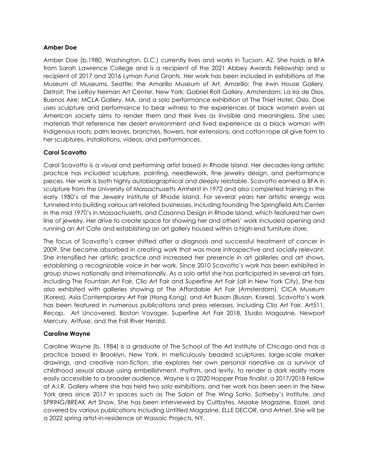#### **Amber Doe**

Amber Doe (b.1980, Washington, D.C.) currently lives and works in Tucson, AZ. She holds a BFA from Sarah Lawrence College and is a recipient of the 2021 Abbey Awards Fellowship and a recipient of 2017 and 2016 Lyman Fund Grants. Her work has been included in exhibitions at the Museum of Museums, Seattle; the Amarillo Museum of Art, Amarillo; The Irwin House Gallery, Detroit; The LeRoy Neiman Art Center, New York; Gabriel Rolt Gallery, Amsterdam; La Ira de Dios, Buenos Aire; MCLA Gallery, MA, and a solo performance exhibition at The Thief Hotel, Oslo. Doe uses sculpture and performance to bear witness to the experiences of black women even as American society aims to render them and their lives as invisible and meaningless. She uses materials that reference her desert environment and lived experience as a black woman with Indigenous roots: palm leaves, branches, flowers, hair extensions, and cotton rope all give form to her sculptures, installations, videos, and performances.

# **Carol Scavotto**

Carol Scavotto is a visual and performing artist based in Rhode Island. Her decades-long artistic practice has included sculpture, painting, needlework, fine jewelry design, and performance pieces. Her work is both highly autobiographical and deeply relatable. Scavotto earned a BFA in sculpture from the University of Massachusetts Amherst in 1972 and also completed training in the early 1980's at the Jewelry Institute of Rhode Island. For several years her artistic energy was funneled into building various art-related businesses, including founding The Springfield Arts Center in the mid 1970's in Massachusetts, and Casanna Design in Rhode Island, which featured her own line of jewelry. Her drive to create space for showing her and others' work included opening and running an Art Cafe and establishing an art gallery housed within a high-end furniture store.

The focus of Scavotto's career shifted after a diagnosis and successful treatment of cancer in 2009. She became absorbed in creating work that was more introspective and socially relevant. She intensified her artistic practice and increased her presence in art galleries and art shows, establishing a recognizable voice in her work. Since 2010 Scavotto's work has been exhibited in group shows nationally and internationally. As a solo artist she has participated in several art fairs, including The Fountain Art Fair, Clio Art Fair and Superfine Art Fair (all in New York City). She has also exhibited with galleries showing at The Affordable Art Fair (Amsterdam), CICA Museum (Korea), Asia Contemporary Art Fair (Hong Kong), and Art Busan (Busan, Korea). Scavotto's work has been featured in numerous publications and press releases, including Clio Art Fair, Art511, Recap, Art Uncovered, Boston Voyager, Superfine Art Fair 2018, Studio Magazine, Newport Mercury, Artfuse, and the Fall River Herald.

#### **Caroline Wayne**

Caroline Wayne (b. 1984) is a graduate of The School of The Art Institute of Chicago and has a practice based in Brooklyn, New York. In meticulously beaded sculptures, large-scale marker drawings, and creative non-fiction, she explores her own personal narrative as a survivor of childhood sexual abuse using embellishment, rhythm, and levity, to render a dark reality more easily accessible to a broader audience. Wayne is a 2020 Hopper Prize finalist, a 2017/2018 Fellow at A.I.R. Gallery where she has held two solo exhibitions, and her work has been seen in the New York area since 2017 in spaces such as The Salon at The Wing SoHo, Sotheby's Institute, and SPRING/BREAK Art Show. She has been interviewed by Cultbytes, Maake Magazine, Eazel, and covered by various publications including Untitled Magazine, ELLE DECOR, and Artnet. She will be a 2022 spring artist-in-residence at Wassaic Projects, NY.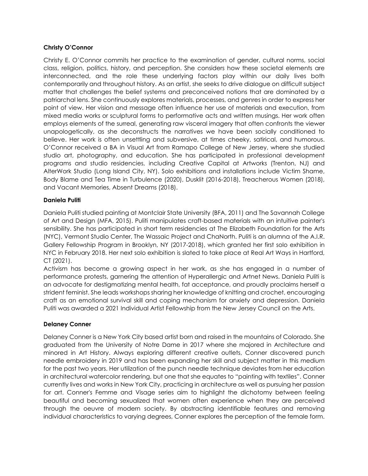#### **Christy O'Connor**

Christy E. O'Connor commits her practice to the examination of gender, cultural norms, social class, religion, politics, history, and perception. She considers how these societal elements are interconnected, and the role these underlying factors play within our daily lives both contemporarily and throughout history. As an artist, she seeks to drive dialogue on difficult subject matter that challenges the belief systems and preconceived notions that are dominated by a patriarchal lens. She continuously explores materials, processes, and genres in order to express her point of view. Her vision and message often influence her use of materials and execution, from mixed media works or sculptural forms to performative acts and written musings. Her work often employs elements of the surreal, generating raw visceral imagery that often confronts the viewer unapologetically, as she deconstructs the narratives we have been socially conditioned to believe. Her work is often unsettling and subversive, at times cheeky, satirical, and humorous. O'Connor received a BA in Visual Art from Ramapo College of New Jersey, where she studied studio art, photography, and education. She has participated in professional development programs and studio residencies, including Creative Capital at Artworks (Trenton, NJ) and AlterWork Studio (Long Island City, NY). Solo exhibitions and installations include Victim Shame, Body Blame and Tea Time in Turbulence (2020), Dusklit (2016-2018), Treacherous Women (2018), and Vacant Memories, Absent Dreams (2018).

#### **Daniela Puliti**

Daniela Puliti studied painting at Montclair State University (BFA, 2011) and The Savannah College of Art and Design (MFA, 2015). Puliti manipulates craft-based materials with an intuitive painter's sensibility. She has participated in short term residencies at The Elizabeth Foundation for the Arts (NYC), Vermont Studio Center, The Wassaic Project and ChaNorth. Puliti is an alumna of the A.I.R. Gallery Fellowship Program in Brooklyn, NY (2017-2018), which granted her first solo exhibition in NYC in February 2018. Her next solo exhibition is slated to take place at Real Art Ways in Hartford, CT (2021).

Activism has become a growing aspect in her work, as she has engaged in a number of performance protests, garnering the attention of Hyperallergic and Artnet News. Daniela Puliti is an advocate for destigmatizing mental health, fat acceptance, and proudly proclaims herself a strident feminist. She leads workshops sharing her knowledge of knitting and crochet, encouraging craft as an emotional survival skill and coping mechanism for anxiety and depression. Daniela Puliti was awarded a 2021 Individual Artist Fellowship from the New Jersey Council on the Arts.

# **Delaney Conner**

Delaney Conner is a New York City based artist born and raised in the mountains of Colorado. She graduated from the University of Notre Dame in 2017 where she majored in Architecture and minored in Art History. Always exploring different creative outlets, Conner discovered punch needle embroidery in 2019 and has been expanding her skill and subject matter in this medium for the past two years. Her utilization of the punch needle technique deviates from her education in architectural watercolor rendering, but one that she equates to "painting with textiles". Conner currently lives and works in New York City, practicing in architecture as well as pursuing her passion for art. Conner's Femme and Visage series aim to highlight the dichotomy between feeling beautiful and becoming sexualized that women often experience when they are perceived through the oeuvre of modern society. By abstracting identifiable features and removing individual characteristics to varying degrees, Conner explores the perception of the female form.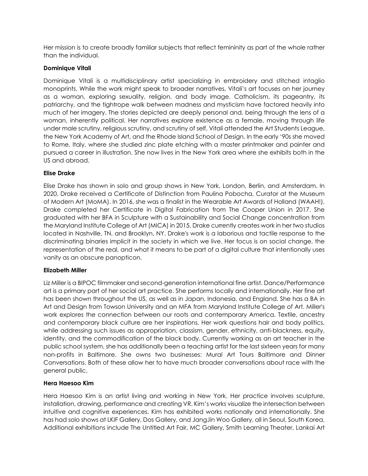Her mission is to create broadly familiar subjects that reflect femininity as part of the whole rather than the individual.

#### **Dominique Vitali**

Dominique Vitali is a multidisciplinary artist specializing in embroidery and stitched intaglio monoprints. While the work might speak to broader narratives, Vitali's art focuses on her journey as a woman, exploring sexuality, religion, and body image. Catholicism, its pageantry, its patriarchy, and the tightrope walk between madness and mysticism have factored heavily into much of her imagery. The stories depicted are deeply personal and, being through the lens of a woman, inherently political. Her narratives explore existence as a female, moving through life under male scrutiny, religious scrutiny, and scrutiny of self. Vitali attended the Art Students League, the New York Academy of Art, and the Rhode Island School of Design. In the early '90s she moved to Rome, Italy, where she studied zinc plate etching with a master printmaker and painter and pursued a career in illustration. She now lives in the New York area where she exhibits both in the US and abroad.

# **Elise Drake**

Elise Drake has shown in solo and group shows in New York, London, Berlin, and Amsterdam. In 2020, Drake received a Certificate of Distinction from Paulina Pobocha, Curator at the Museum of Modern Art (MoMA). In 2016, she was a finalist in the Wearable Art Awards of Holland (WAAH!). Drake completed her Certificate in Digital Fabrication from The Cooper Union in 2017. She graduated with her BFA in Sculpture with a Sustainability and Social Change concentration from the Maryland Institute College of Art (MICA) in 2015. Drake currently creates work in her two studios located in Nashville, TN, and Brooklyn, NY. Drake's work is a laborious and tactile response to the discriminating binaries implicit in the society in which we live. Her focus is on social change, the representation of the real, and what it means to be part of a digital culture that intentionally uses vanity as an obscure panopticon.

#### **Elizabeth Miller**

Liz Miller is a BIPOC filmmaker and second-generation international fine artist. Dance/Performance art is a primary part of her social art practice. She performs locally and internationally. Her fine art has been shown throughout the US, as well as in Japan, Indonesia, and England. She has a BA in Art and Design from Towson University and an MFA from Maryland Institute College of Art. Miller's work explores the connection between our roots and contemporary America. Textile, ancestry and contemporary black culture are her inspirations. Her work questions hair and body politics, while addressing such issues as appropriation, classism, gender, ethnicity, anti-blackness, equity, identity, and the commodification of the black body. Currently working as an art teacher in the public school system, she has additionally been a teaching artist for the last sixteen years for many non-profits in Baltimore. She owns two businesses: Mural Art Tours Baltimore and Dinner Conversations. Both of these allow her to have much broader conversations about race with the general public.

#### **Hera Haesoo Kim**

Hera Haesoo Kim is an artist living and working in New York. Her practice involves sculpture, installation, drawing, performance and creating VR. Kim's works visualize the intersection between intuitive and cognitive experiences. Kim has exhibited works nationally and internationally. She has had solo shows at LKIF Gallery, Dos Gallery, and JangJin Woo Gallery, all in Seoul, South Korea. Additional exhibitions include The Untitled Art Fair, MC Gallery, Smith Learning Theater, Lankai Art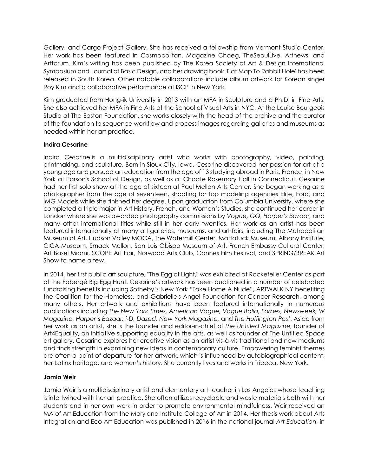Gallery, and Cargo Project Gallery. She has received a fellowship from Vermont Studio Center. Her work has been featured in Cosmopolitan, Magazine Chaeg, TheSeoulLive, Artnews, and Artforum. Kim's writing has been published by The Korea Society of Art & Design International Symposium and Journal of Basic Design, and her drawing book 'Flat Map To Rabbit Hole' has been released in South Korea. Other notable collaborations include album artwork for Korean singer Roy Kim and a collaborative performance at ISCP in New York.

Kim graduated from Hong-ik University in 2013 with an MFA in Sculpture and a Ph.D. in Fine Arts. She also achieved her MFA in Fine Arts at the School of Visual Arts in NYC. At the Louise Bourgeois Studio at The Easton Foundation, she works closely with the head of the archive and the curator of the foundation to sequence workflow and process images regarding galleries and museums as needed within her art practice.

#### **Indira Cesarine**

Indira Cesarine is a multidisciplinary artist who works with photography, video, painting, printmaking, and sculpture. Born in Sioux City, Iowa, Cesarine discovered her passion for art at a young age and pursued an education from the age of 13 studying abroad in Paris, France, in New York at Parson's School of Design, as well as at Choate Rosemary Hall in Connecticut. Cesarine had her first solo show at the age of sixteen at Paul Mellon Arts Center. She began working as a photographer from the age of seventeen, shooting for top modeling agencies Elite, Ford, and IMG Models while she finished her degree. Upon graduation from Columbia University, where she completed a triple major in Art History, French, and Women's Studies, she continued her career in London where she was awarded photography commissions by *Vogue, GQ, Harper's Bazaar,* and many other international titles while still in her early twenties. Her work as an artist has been featured internationally at many art galleries, museums, and art fairs, including The Metropolitan Museum of Art, Hudson Valley MOCA, The Watermill Center, Mattatuck Museum, Albany Institute, CICA Museum, Smack Mellon, San Luis Obispo Museum of Art, French Embassy Cultural Center, Art Basel Miami, SCOPE Art Fair, Norwood Arts Club, Cannes Film Festival, and SPRING/BREAK Art Show to name a few.

In 2014, her first public art sculpture, "The Egg of Light," was exhibited at Rockefeller Center as part of the Fabergé Big Egg Hunt. Cesarine's artwork has been auctioned in a number of celebrated fundraising benefits including Sotheby's New York "Take Home A Nude", ARTWALK NY benefiting the Coalition for the Homeless, and Gabrielle's Angel Foundation for Cancer Research, among many others. Her artwork and exhibitions have been featured internationally in numerous publications including *The New York Times, American Vogue, Vogue Italia, Forbes, Newsweek, W Magazine, Harper's Bazaar, i-D, Dazed, New York Magazine,* and *The Huffington Post*. Aside from her work as an artist, she is the founder and editor-in-chief of *The Untitled Magazine,* founder of Art4Equality, an initiative supporting equality in the arts, as well as founder of The Untitled Space art gallery. Cesarine explores her creative vision as an artist vis-à-vis traditional and new mediums and finds strength in examining new ideas in contemporary culture. Empowering feminist themes are often a point of departure for her artwork, which is influenced by autobiographical content, her Latinx heritage, and women's history. She currently lives and works in Tribeca, New York.

#### **Jamia Weir**

Jamia Weir is a multidisciplinary artist and elementary art teacher in Los Angeles whose teaching is intertwined with her art practice. She often utilizes recyclable and waste materials both with her students and in her own work in order to promote environmental mindfulness. Weir received an MA of Art Education from the Maryland Institute College of Art in 2014. Her thesis work about Arts Integration and Eco-Art Education was published in 2016 in the national journal *Art Education*, in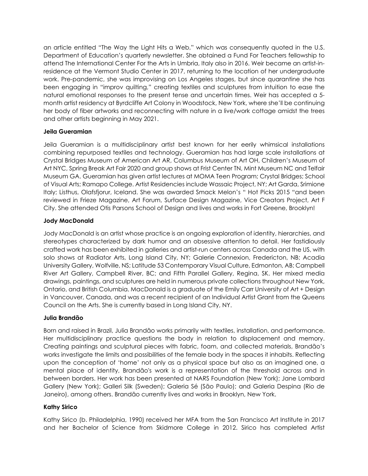an article entitled "The Way the Light Hits a Web," which was consequently quoted in the U.S. Department of Education's quarterly newsletter. She obtained a Fund For Teachers fellowship to attend The International Center For the Arts in Umbria, Italy also in 2016. Weir became an artist-inresidence at the Vermont Studio Center in 2017, returning to the location of her undergraduate work. Pre-pandemic, she was improvising on Los Angeles stages, but since quarantine she has been engaging in "improv quilting," creating textiles and sculptures from intuition to ease the natural emotional responses to the present tense and uncertain times. Weir has accepted a 5 month artist residency at Byrdcliffe Art Colony in Woodstock, New York, where she'll be continuing her body of fiber artworks and reconnecting with nature in a live/work cottage amidst the trees and other artists beginning in May 2021.

# **Jeila Gueramian**

Jeila Gueramian is a multidisciplinary artist best known for her eerily whimsical installations combining repurposed textiles and technology. Gueramian has had large scale installations at Crystal Bridges Museum of American Art AR, Columbus Museum of Art OH, Children's Museum of Art NYC, Spring Break Art Fair 2020 and group shows at Frist Center TN, Mint Museum NC and Telfair Museum GA. Gueramian has given artist lectures at MOMA Teen Program; Crystal Bridges; School of Visual Arts; Ramapo College. Artist Residencies include Wassaic Project, NY; Art Garda, Srimione Italy; Listhus, Olafsfjorur, Iceland. She was awarded Smack Melon's " Hot Picks 2015 "and been reviewed in Frieze Magazine, Art Forum, Surface Design Magazine, Vice Creators Project, Art F City. She attended Otis Parsons School of Design and lives and works in Fort Greene, Brooklyn!

#### **Jody MacDonald**

Jody MacDonald is an artist whose practice is an ongoing exploration of identity, hierarchies, and stereotypes characterized by dark humor and an obsessive attention to detail. Her fastidiously crafted work has been exhibited in galleries and artist-run centers across Canada and the US, with solo shows at Radiator Arts, Long Island City, NY; Galerie Connexion, Fredericton, NB; Acadia University Gallery, Wolfville, NS; Latitude 53 Contemporary Visual Culture, Edmonton, AB; Campbell River Art Gallery, Campbell River, BC; and Fifth Parallel Gallery, Regina, SK. Her mixed media drawings, paintings, and sculptures are held in numerous private collections throughout New York, Ontario, and British Columbia. MacDonald is a graduate of the Emily Carr University of Art + Design in Vancouver, Canada, and was a recent recipient of an Individual Artist Grant from the Queens Council on the Arts. She is currently based in Long Island City, NY.

# **Julia Brandão**

Born and raised in Brazil, Julia Brandão works primarily with textiles, installation, and performance. Her multidisciplinary practice questions the body in relation to displacement and memory. Creating paintings and sculptural pieces with fabric, foam, and collected materials, Brandão's works investigate the limits and possibilities of the female body in the spaces it inhabits. Reflecting upon the conception of 'home' not only as a physical space but also as an imagined one, a mental place of identity, Brandão's work is a representation of the threshold across and in between borders. Her work has been presented at NARS Foundation (New York); Jane Lombard Gallery (New York); Galleri Silk (Sweden); Galeria Sé (São Paulo); and Galeria Despina (Rio de Janeiro), among others. Brandão currently lives and works in Brooklyn, New York.

# **Kathy Sirico**

Kathy Sirico (b. Philadelphia, 1990) received her MFA from the San Francisco Art Institute in 2017 and her Bachelor of Science from Skidmore College in 2012. Sirico has completed Artist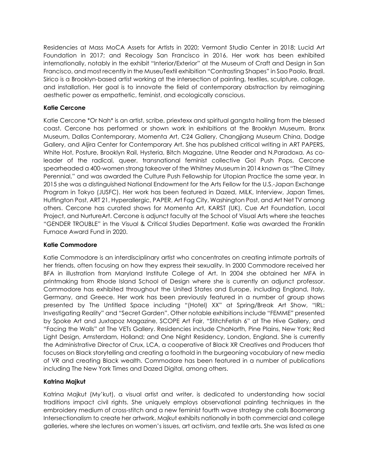Residencies at Mass MoCA Assets for Artists in 2020; Vermont Studio Center in 2018; Lucid Art Foundation in 2017; and Recology San Francisco in 2016. Her work has been exhibited internationally, notably in the exhibit "Interior/Exterior" at the Museum of Craft and Design in San Francisco, and most recently in the MuseuTextil exhibition "Contrasting Shapes" in Sao Paolo, Brazil. Sirico is a Brooklyn-based artist working at the intersection of painting, textiles, sculpture, collage, and installation. Her goal is to innovate the field of contemporary abstraction by reimagining aesthetic power as empathetic, feminist, and ecologically conscious.

# **Katie Cercone**

Katie Cercone \*Or Nah\* is an artist, scribe, priextexx and spiritual gangsta hailing from the blessed coast. Cercone has performed or shown work in exhibitions at the Brooklyn Museum, Bronx Museum, Dallas Contemporary, Momenta Art, C24 Gallery, Changjiang Museum China, Dodge Gallery, and Aljira Center for Contemporary Art. She has published critical writing in ART PAPERS, White Hot, Posture, Brooklyn Rail, Hysteria, Bitch Magazine, Utne Reader and N.Paradoxa. As coleader of the radical, queer, transnational feminist collective Go! Push Pops, Cercone spearheaded a 400-women strong takeover of the Whitney Museum in 2014 known as "The Clitney Perennial," and was awarded the Culture Push Fellowship for Utopian Practice the same year. In 2015 she was a distinguished National Endowment for the Arts Fellow for the U.S.-Japan Exchange Program in Tokyo (JUSFC). Her work has been featured in Dazed, MILK, Interview, Japan Times, Huffington Post, ART 21, Hyperallergic, PAPER, Art Fag City, Washington Post, and Art Net TV among others. Cercone has curated shows for Momenta Art, KARST (UK), Cue Art Foundation, Local Project, and NurtureArt. Cercone is adjunct faculty at the School of Visual Arts where she teaches "GENDER TROUBLE" in the Visual & Critical Studies Department. Katie was awarded the Franklin Furnace Award Fund in 2020.

#### **Katie Commodore**

Katie Commodore is an interdisciplinary artist who concentrates on creating intimate portraits of her friends, often focusing on how they express their sexuality. In 2000 Commodore received her BFA in illustration from Maryland Institute College of Art. In 2004 she obtained her MFA in printmaking from Rhode Island School of Design where she is currently an adjunct professor. Commodore has exhibited throughout the United States and Europe, including England, Italy, Germany, and Greece. Her work has been previously featured in a number of group shows presented by The Untitled Space including "(Hotel) XX" at Spring/Break Art Show, "IRL: Investigating Reality" and "Secret Garden". Other notable exhibitions include "FEMME" presented by Spoke Art and Juxtapoz Magazine, SCOPE Art Fair, "StitchFetish 6" at The Hive Gallery, and "Facing the Walls" at The VETs Gallery. Residencies include ChaNorth, Pine Plains, New York; Red Light Design, Amsterdam, Holland; and One Night Residency, London, England. She is currently the Administrative Director of Crux, LCA, a cooperative of Black XR Creatives and Producers that focuses on Black storytelling and creating a foothold in the burgeoning vocabulary of new media of VR and creating Black wealth. Commodore has been featured in a number of publications including The New York Times and Dazed Digital, among others.

# **Katrina Majkut**

Katrina Majkut (My'kut), a visual artist and writer, is dedicated to understanding how social traditions impact civil rights. She uniquely employs observational painting techniques in the embroidery medium of cross-stitch and a new feminist fourth wave strategy she calls Boomerang Intersectionalism to create her artwork. Majkut exhibits nationally in both commercial and college galleries, where she lectures on women's issues, art activism, and textile arts. She was listed as one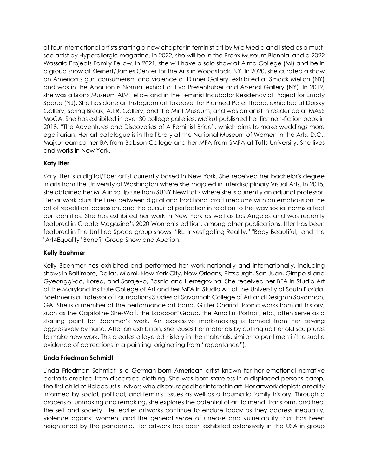of four international artists starting a new chapter in feminist art by Mic Media and listed as a mustsee artist by Hyperallergic magazine. In 2022, she will be in the Bronx Museum Biennial and a 2022 Wassaic Projects Family Fellow. In 2021, she will have a solo show at Alma College (MI) and be in a group show at Kleinert/James Center for the Arts in Woodstock, NY. In 2020, she curated a show on America's gun consumerism and violence at Dinner Gallery, exhibited at Smack Mellon (NY) and was in the Abortion is Normal exhibit at Eva Presenhuber and Arsenal Gallery (NY). In 2019, she was a Bronx Museum AIM Fellow and in the Feminist Incubator Residency at Project for Empty Space (NJ). She has done an Instagram art takeover for Planned Parenthood, exhibited at Dorsky Gallery, Spring Break, A.I.R. Gallery, and the Mint Museum, and was an artist in residence at MASS MoCA. She has exhibited in over 30 college galleries. Majkut published her first non-fiction book in 2018, "The Adventures and Discoveries of A Feminist Bride", which aims to make weddings more egalitarian. Her art catalogue is in the library at the National Museum of Women in the Arts, D.C.. Majkut earned her BA from Babson College and her MFA from SMFA at Tufts University. She lives and works in New York.

# **Katy Itter**

Katy Itter is a digital/fiber artist currently based in New York. She received her bachelor's degree in arts from the University of Washington where she majored in Interdisciplinary Visual Arts. In 2015, she obtained her MFA in sculpture from SUNY New Paltz where she is currently an adjunct professor. Her artwork blurs the lines between digital and traditional craft mediums with an emphasis on the art of repetition, obsession, and the pursuit of perfection in relation to the way social norms affect our identities. She has exhibited her work in New York as well as Los Angeles and was recently featured in Create Magazine's 2020 Women's edition, among other publications. Itter has been featured in The Untitled Space group shows "IRL: Investigating Reality," "Body Beautiful," and the "Art4Equality" Benefit Group Show and Auction.

# **Kelly Boehmer**

Kelly Boehmer has exhibited and performed her work nationally and internationally, including shows in Baltimore, Dallas, Miami, New York City, New Orleans, Pittsburgh, San Juan, Gimpo-si and Gyeonggi-do, Korea, and Sarajevo, Bosnia and Herzegovina. She received her BFA in Studio Art at the Maryland Institute College of Art and her MFA in Studio Art at the University of South Florida. Boehmer is a Professor of Foundations Studies at Savannah College of Art and Design in Savannah, GA. She is a member of the performance art band, Glitter Chariot. Iconic works from art history, such as the Capitoline She-Wolf, the Laocoon Group, the Arnolfini Portrait, etc., often serve as a starting point for Boehmer's work. An expressive mark-making is formed from her sewing aggressively by hand. After an exhibition, she reuses her materials by cutting up her old sculptures to make new work. This creates a layered history in the materials, similar to pentimenti (the subtle evidence of corrections in a painting, originating from "repentance").

# **Linda Friedman Schmidt**

Linda Friedman Schmidt is a German-born American artist known for her emotional narrative portraits created from discarded clothing. She was born stateless in a displaced persons camp, the first child of Holocaust survivors who discouraged her interest in art. Her artwork depicts a reality informed by social, political, and feminist issues as well as a traumatic family history. Through a process of unmaking and remaking, she explores the potential of art to mend, transform, and heal the self and society. Her earlier artworks continue to endure today as they address inequality, violence against women, and the general sense of unease and vulnerability that has been heightened by the pandemic. Her artwork has been exhibited extensively in the USA in group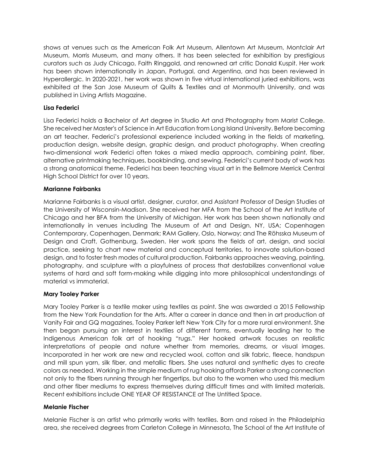shows at venues such as the American Folk Art Museum, Allentown Art Museum, Montclair Art Museum, Morris Museum, and many others. It has been selected for exhibition by prestigious curators such as Judy Chicago, Faith Ringgold, and renowned art critic Donald Kuspit. Her work has been shown internationally in Japan, Portugal, and Argentina, and has been reviewed in Hyperallergic. In 2020-2021, her work was shown in five virtual international juried exhibitions, was exhibited at the San Jose Museum of Quilts & Textiles and at Monmouth University, and was published in Living Artists Magazine.

# **Lisa Federici**

Lisa Federici holds a Bachelor of Art degree in Studio Art and Photography from Marist College. She received her Master's of Science in Art Education from Long Island University. Before becoming an art teacher, Federici's professional experience included working in the fields of marketing, production design, website design, graphic design, and product photography. When creating two-dimensional work Federici often takes a mixed media approach, combining paint, fiber, alternative printmaking techniques, bookbinding, and sewing. Federici's current body of work has a strong anatomical theme. Federici has been teaching visual art in the Bellmore Merrick Central High School District for over 10 years.

#### **Marianne Fairbanks**

Marianne Fairbanks is a visual artist, designer, curator, and Assistant Professor of Design Studies at the University of Wisconsin-Madison. She received her MFA from the School of the Art Institute of Chicago and her BFA from the University of Michigan. Her work has been shown nationally and internationally in venues including The Museum of Art and Design, NY, USA; Copenhagen Contemporary, Copenhagen, Denmark; RAM Gallery, Oslo, Norway; and The Röhsska Museum of Design and Craft, Gothenburg, Sweden. Her work spans the fields of art, design, and social practice, seeking to chart new material and conceptual territories, to innovate solution-based design, and to foster fresh modes of cultural production. Fairbanks approaches weaving, painting, photography, and sculpture with a playfulness of process that destabilizes conventional value systems of hard and soft form-making while digging into more philosophical understandings of material vs immaterial.

#### **Mary Tooley Parker**

Mary Tooley Parker is a textile maker using textiles as paint. She was awarded a 2015 Fellowship from the New York Foundation for the Arts. After a career in dance and then in art production at Vanity Fair and GQ magazines, Tooley Parker left New York City for a more rural environment. She then began pursuing an interest in textiles of different forms, eventually leading her to the Indigenous American folk art of hooking "rugs." Her hooked artwork focuses on realistic interpretations of people and nature whether from memories, dreams, or visual images. Incorporated in her work are new and recycled wool, cotton and silk fabric, fleece, handspun and mill spun yarn, silk fiber, and metallic fibers. She uses natural and synthetic dyes to create colors as needed. Working in the simple medium of rug hooking affords Parker a strong connection not only to the fibers running through her fingertips, but also to the women who used this medium and other fiber mediums to express themselves during difficult times and with limited materials. Recent exhibitions include ONE YEAR OF RESISTANCE at The Untitled Space.

#### **Melanie Fischer**

Melanie Fischer is an artist who primarily works with textiles. Born and raised in the Philadelphia area, she received degrees from Carleton College in Minnesota, The School of the Art Institute of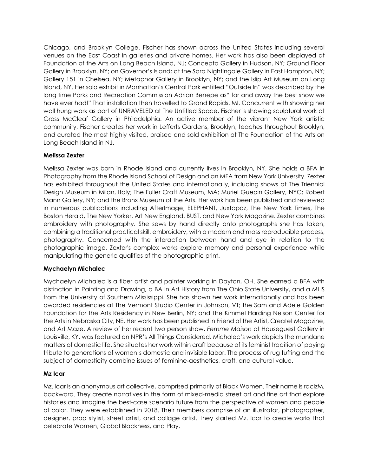Chicago, and Brooklyn College. Fischer has shown across the United States including several venues on the East Coast in galleries and private homes. Her work has also been displayed at Foundation of the Arts on Long Beach Island, NJ; Concepto Gallery in Hudson, NY; Ground Floor Gallery in Brooklyn, NY; on Governor's Island; at the Sara Nightingale Gallery in East Hampton, NY; Gallery 151 in Chelsea, NY; Metaphor Gallery in Brooklyn, NY; and the Islip Art Museum on Long Island, NY. Her solo exhibit in Manhattan's Central Park entitled "Outside In" was described by the long time Parks and Recreation Commission Adrian Benepe as" far and away the best show we have ever had!" That installation then travelled to Grand Rapids, MI. Concurrent with showing her wall hung work as part of UNRAVELED at The Untitled Space, Fischer is showing sculptural work at Gross McCleaf Gallery in Philadelphia. An active member of the vibrant New York artistic community, Fischer creates her work in Lefferts Gardens, Brooklyn, teaches throughout Brooklyn, and curated the most highly visited, praised and sold exhibition at The Foundation of the Arts on Long Beach Island in NJ.

# **Melissa Zexter**

Melissa Zexter was born in Rhode Island and currently lives in Brooklyn, NY. She holds a BFA in Photography from the Rhode Island School of Design and an MFA from New York University. Zexter has exhibited throughout the United States and internationally, including shows at The Triennial Design Museum in Milan, Italy; The Fuller Craft Museum, MA; Muriel Guepin Gallery, NYC; Robert Mann Gallery, NY; and the Bronx Museum of the Arts. Her work has been published and reviewed in numerous publications including AfterImage, ELEPHANT, Juxtapoz, The New York Times, The Boston Herald, The New Yorker, Art New England, BUST, and New York Magazine. Zexter combines embroidery with photography. She sews by hand directly onto photographs she has taken, combining a traditional practical skill, embroidery, with a modern and mass reproducible process, photography. Concerned with the interaction between hand and eye in relation to the photographic image, Zexter's complex works explore memory and personal experience while manipulating the generic qualities of the photographic print.

#### **Mychaelyn Michalec**

Mychaelyn Michalec is a fiber artist and painter working in Dayton, OH. She earned a BFA with distinction in Painting and Drawing, a BA in Art History from The Ohio State University, and a MLIS from the University of Southern Mississippi. She has shown her work internationally and has been awarded residencies at The Vermont Studio Center in Johnson, VT; the Sam and Adele Golden Foundation for the Arts Residency in New Berlin, NY; and The Kimmel Harding Nelson Center for the Arts in Nebraska City, NE. Her work has been published in Friend of the Artist, Create! Magazine, and Art Maze. A review of her recent two person show, *Femme Maison* at Houseguest Gallery in Louisville, KY, was featured on NPR's All Things Considered. Michalec's work depicts the mundane matters of domestic life. She situates her work within craft because of its feminist tradition of paying tribute to generations of women's domestic and invisible labor. The process of rug tufting and the subject of domesticity combine issues of feminine-aesthetics, craft, and cultural value.

# **Mz Icar**

Mz. Icar is an anonymous art collective, comprised primarily of Black Women. Their name is racIzM, backward. They create narratives in the form of mixed-media street art and fine art that explore histories and imagine the best-case scenario future from the perspective of women and people of color. They were established in 2018. Their members comprise of an illustrator, photographer, designer, prop stylist, street artist, and collage artist. They started Mz. Icar to create works that celebrate Women, Global Blackness, and Play.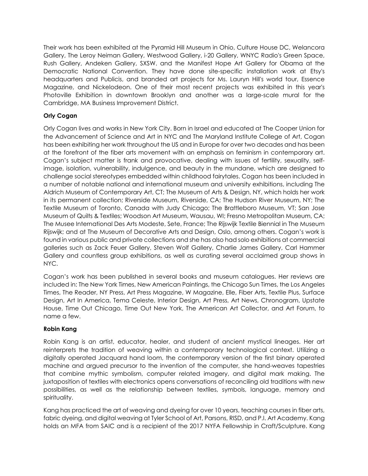Their work has been exhibited at the Pyramid Hill Museum in Ohio, Culture House DC, Welancora Gallery, The Leroy Neiman Gallery, Westwood Gallery, i-20 Gallery, WNYC Radio's Green Space, Rush Gallery, Andeken Gallery, SXSW. and the Manifest Hope Art Gallery for Obama at the Democratic National Convention. They have done site-specific installation work at Etsy's headquarters and Publicis, and branded art projects for Ms. Lauryn Hill's world tour, Essence Magazine, and Nickelodeon. One of their most recent projects was exhibited in this year's Photoville Exhibition in downtown Brooklyn and another was a large-scale mural for the Cambridge, MA Business Improvement District.

# **Orly Cogan**

Orly Cogan lives and works in New York City. Born in Israel and educated at The Cooper Union for the Advancement of Science and Art in NYC and The Maryland Institute College of Art, Cogan has been exhibiting her work throughout the US and in Europe for over two decades and has been at the forefront of the fiber arts movement with an emphasis on feminism in contemporary art. Cogan's subject matter is frank and provocative, dealing with issues of fertility, sexuality, selfimage, isolation, vulnerability, indulgence, and beauty in the mundane, which are designed to challenge social stereotypes embedded within childhood fairytales. Cogan has been included in a number of notable national and international museum and university exhibitions, including The Aldrich Museum of Contemporary Art, CT; The Museum of Arts & Design, NY, which holds her work in its permanent collection; Riverside Museum, Riverside, CA; The Hudson River Museum, NY; The Textile Museum of Toronto, Canada with Judy Chicago; The Brattleboro Museum, VT; San Jose Museum of Quilts & Textiles; Woodson Art Museum, Wausau, WI; Fresno Metropolitan Museum, CA; The Musee International Des Arts Modeste, Sete, France; The Rijswijk Textile Biennial in The Museum Rijswijk; and at The Museum of Decorative Arts and Design, Oslo, among others. Cogan's work is found in various public and private collections and she has also had solo exhibitions at commercial galleries such as Zack Feuer Gallery, Steven Wolf Gallery, Charlie James Gallery, Carl Hammer Gallery and countless group exhibitions, as well as curating several acclaimed group shows in NYC.

Cogan's work has been published in several books and museum catalogues. Her reviews are included in: The New York Times, New American Paintings, the Chicago Sun Times, the Los Angeles Times, The Reader, NY Press, Art Press Magazine, W Magazine, Elle, Fiber Arts, Textile Plus, Surface Design, Art In America, Tema Celeste, Interior Design, Art Press, Art News, Chronogram, Upstate House, Time Out Chicago, Time Out New York, The American Art Collector, and Art Forum, to name a few.

# **Robin Kang**

Robin Kang is an artist, educator, healer, and student of ancient mystical lineages. Her art reinterprets the tradition of weaving within a contemporary technological context. Utilizing a digitally operated Jacquard hand loom, the contemporary version of the first binary operated machine and argued precursor to the invention of the computer, she hand-weaves tapestries that combine mythic symbolism, computer related imagery, and digital mark making. The juxtaposition of textiles with electronics opens conversations of reconciling old traditions with new possibilities, as well as the relationship between textiles, symbols, language, memory and spirituality.

Kang has practiced the art of weaving and dyeing for over 10 years, teaching courses in fiber arts, fabric dyeing, and digital weaving at Tyler School of Art, Parsons, RISD, and P.I. Art Academy. Kang holds an MFA from SAIC and is a recipient of the 2017 NYFA Fellowship in Craft/Sculpture. Kang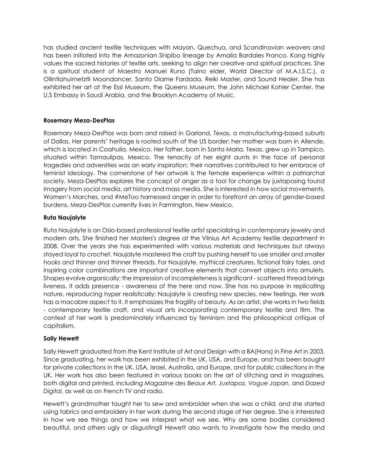has studied ancient textile techniques with Mayan, Quechua, and Scandinavian weavers and has been initiated into the Amazonian Shipibo lineage by Amalia Bardales Franco. Kang highly values the sacred histories of textile arts, seeking to align her creative and spiritual practices. She is a spiritual student of Maestro Manuel Runo (Taino elder, World Director of M.A.I.S.C.), a Ollintlahuimetztli Moondancer, Santo Diame Fardada, Reiki Master, and Sound Healer. She has exhibited her art at the Essl Museum, the Queens Museum, the John Michael Kohler Center, the U.S Embassy in Saudi Arabia, and the Brooklyn Academy of Music.

#### **Rosemary Meza-DesPlas**

Rosemary Meza-DesPlas was born and raised in Garland, Texas, a manufacturing-based suburb of Dallas. Her parents' heritage is rooted south of the US border: her mother was born in Allende, which is located in Coahuila, Mexico. Her father, born in Santa Maria, Texas, grew up in Tampico, situated within Tamaulipas, Mexico. The tenacity of her eight aunts in the face of personal tragedies and adversities was an early inspiration; their narratives contributed to her embrace of feminist ideology. The cornerstone of her artwork is the female experience within a patriarchal society. Meza-DesPlas explores the concept of anger as a tool for change by juxtaposing found imagery from social media, art history and mass media. She is interested in how social movements, Women's Marches, and #MeToo harnessed anger in order to forefront an array of gender-based burdens. Meza-DesPlas currently lives in Farmington, New Mexico.

#### **Ruta Naujalyte**

Ruta Naujalyte is an Oslo-based professional textile artist specializing in contemporary jewelry and modern arts. She finished her Masters's degree at the Vilnius Art Academy textile department in 2008. Over the years she has experimented with various materials and techniques but always stayed loyal to crochet. Naujalyte mastered the craft by pushing herself to use smaller and smaller hooks and thinner and thinner threads. For Naujalyte, mythical creatures, fictional fairy tales, and inspiring color combinations are important creative elements that convert objects into amulets. Shapes evolve organically; the impression of incompleteness is significant - scattered thread brings liveness. It adds presence - awareness of the here and now. She has no purpose in replicating nature, reproducing hyper realistically; Naujalyte is creating new species, new feelings. Her work has a macabre aspect to it. It emphasizes the fragility of beauty. As an artist, she works in two fields - contemporary textile craft, and visual arts incorporating contemporary textile and film. The context of her work is predominately influenced by feminism and the philosophical critique of capitalism.

#### **Sally Hewett**

Sally Hewett graduated from the Kent Institute of Art and Design with a BA(Hons) in Fine Art in 2003. Since graduating, her work has been exhibited in the UK, USA, and Europe, and has been bought for private collections in the UK, USA, Israel, Australia, and Europe, and for public collections in the UK. Her work has also been featured in various books on the art of stitching and in magazines, both digital and printed, including *Magazine des Beaux Art, Juxtapoz, Vogue Japan,* and *Dazed Digital*, as well as on French TV and radio.

Hewett's grandmother taught her to sew and embroider when she was a child, and she started using fabrics and embroidery in her work during the second stage of her degree. She is interested in how we see things and how we interpret what we see. Why are some bodies considered beautiful, and others ugly or disgusting? Hewett also wants to investigate how the media and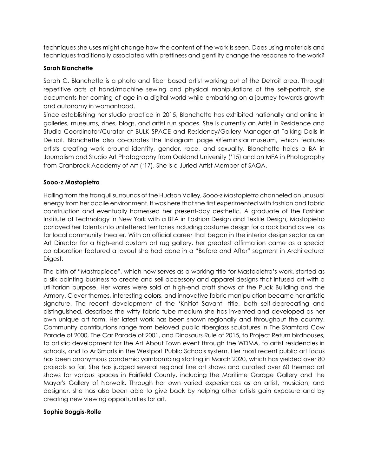techniques she uses might change how the content of the work is seen. Does using materials and techniques traditionally associated with prettiness and gentility change the response to the work?

#### **Sarah Blanchette**

Sarah C. Blanchette is a photo and fiber based artist working out of the Detroit area. Through repetitive acts of hand/machine sewing and physical manipulations of the self-portrait, she documents her coming of age in a digital world while embarking on a journey towards growth and autonomy in womanhood.

Since establishing her studio practice in 2015, Blanchette has exhibited nationally and online in galleries, museums, zines, blogs, and artist run spaces. She is currently an Artist in Residence and Studio Coordinator/Curator at BULK SPACE and Residency/Gallery Manager at Talking Dolls in Detroit. Blanchette also co-curates the Instagram page @feministartmuseum, which features artists creating work around identity, gender, race, and sexuality. Blanchette holds a BA in Journalism and Studio Art Photography from Oakland University ('15) and an MFA in Photography from Cranbrook Academy of Art ('17). She is a Juried Artist Member of SAQA.

#### **Sooo-z Mastopietro**

Hailing from the tranquil surrounds of the Hudson Valley, Sooo-z Mastopietro channeled an unusual energy from her docile environment. It was here that she first experimented with fashion and fabric construction and eventually harnessed her present-day aesthetic. A graduate of the Fashion Institute of Technology in New York with a BFA in Fashion Design and Textile Design, Mastopietro parlayed her talents into unfettered territories including costume design for a rock band as well as for local community theater. With an official career that began in the interior design sector as an Art Director for a high-end custom art rug gallery, her greatest affirmation came as a special collaboration featured a layout she had done in a "Before and After" segment in Architectural Digest.

The birth of "Mastropiece", which now serves as a working title for Mastopietro's work, started as a silk painting business to create and sell accessory and apparel designs that infused art with a utilitarian purpose. Her wares were sold at high-end craft shows at the Puck Building and the Armory. Clever themes, interesting colors, and innovative fabric manipulation became her artistic signature. The recent development of the 'Knitiot Savant' title, both self-deprecating and distinguished, describes the witty fabric tube medium she has invented and developed as her own unique art form. Her latest work has been shown regionally and throughout the country. Community contributions range from beloved public fiberglass sculptures in The Stamford Cow Parade of 2000, The Car Parade of 2001, and Dinosaurs Rule of 2015, to Project Return birdhouses, to artistic development for the Art About Town event through the WDMA, to artist residencies in schools, and to ArtSmarts in the Westport Public Schools system. Her most recent public art focus has been anonymous pandemic yarnbombing starting in March 2020, which has yielded over 80 projects so far. She has judged several regional fine art shows and curated over 60 themed art shows for various spaces in Fairfield County, including the Maritime Garage Gallery and the Mayor's Gallery of Norwalk. Through her own varied experiences as an artist, musician, and designer, she has also been able to give back by helping other artists gain exposure and by creating new viewing opportunities for art.

#### **Sophie Boggis-Rolfe**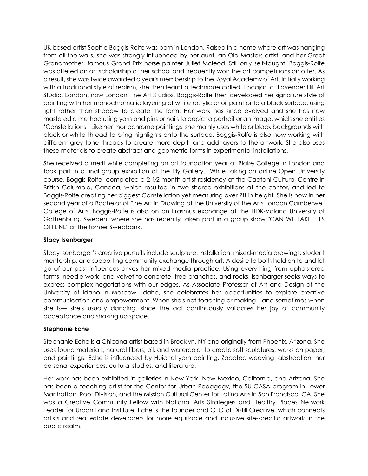UK based artist Sophie Boggis-Rolfe was born in London. Raised in a home where art was hanging from all the walls, she was strongly influenced by her aunt, an Old Masters artist, and her Great Grandmother, famous Grand Prix horse painter Juliet Mcleod. Still only self-taught, Boggis-Rolfe was offered an art scholarship at her school and frequently won the art competitions on offer. As a result, she was twice awarded a year's membership to the Royal Academy of Art. Initially working with a traditional style of realism, she then learnt a technique called 'Encajar' at Lavender Hill Art Studio, London, now London Fine Art Studios. Boggis-Rolfe then developed her signature style of painting with her monochromatic layering of white acrylic or oil paint onto a black surface, using light rather than shadow to create the form. Her work has since evolved and she has now mastered a method using yarn and pins or nails to depict a portrait or an image, which she entitles 'Constellations'. Like her monochrome paintings, she mainly uses white or black backgrounds with black or white thread to bring highlights onto the surface. Boggis-Rolfe is also now working with different grey tone threads to create more depth and add layers to the artwork. She also uses these materials to create abstract and geometric forms in experimental installations.

She received a merit while completing an art foundation year at Blake College in London and took part in a final group exhibition at the Ply Gallery. While taking an online Open University course, Boggis-Rolfe completed a 2 1⁄2 month artist residency at the Caetani Cultural Centre in British Columbia, Canada, which resulted in two shared exhibitions at the center, and led to Boggis-Rolfe creating her biggest Constellation yet measuring over 7ft in height. She is now in her second year of a Bachelor of Fine Art in Drawing at the University of the Arts London Camberwell College of Arts. Boggis-Rolfe is also on an Erasmus exchange at the HDK-Valand University of Gothenburg, Sweden, where she has recently taken part in a group show "CAN WE TAKE THIS OFFLINE" at the former Swedbank.

#### **Stacy Isenbarger**

Stacy Isenbarger's creative pursuits include sculpture, installation, mixed-media drawings, student mentorship, and supporting community exchange through art. A desire to both hold on to and let go of our past influences drives her mixed-media practice. Using everything from upholstered forms, needle work, and velvet to concrete, tree branches, and rocks, Isenbarger seeks ways to express complex negotiations with our edges. As Associate Professor of Art and Design at the University of Idaho in Moscow, Idaho, she celebrates her opportunities to explore creative communication and empowerment. When she's not teaching or making—and sometimes when she is— she's usually dancing, since the act continuously validates her joy of community acceptance and shaking up space.

# **Stephanie Eche**

Stephanie Eche is a Chicana artist based in Brooklyn, NY and originally from Phoenix, Arizona. She uses found materials, natural fibers, oil, and watercolor to create soft sculptures, works on paper, and paintings. Eche is influenced by Huichol yarn painting, Zapotec weaving, abstraction, her personal experiences, cultural studies, and literature.

Her work has been exhibited in galleries in New York, New Mexico, California, and Arizona. She has been a teaching artist for the Center for Urban Pedagogy, the SU-CASA program in Lower Manhattan, Root Division, and the Mission Cultural Center for Latino Arts in San Francisco, CA. She was a Creative Community Fellow with National Arts Strategies and Healthy Places Network Leader for Urban Land Institute. Eche is the founder and CEO of Distill Creative, which connects artists and real estate developers for more equitable and inclusive site-specific artwork in the public realm.